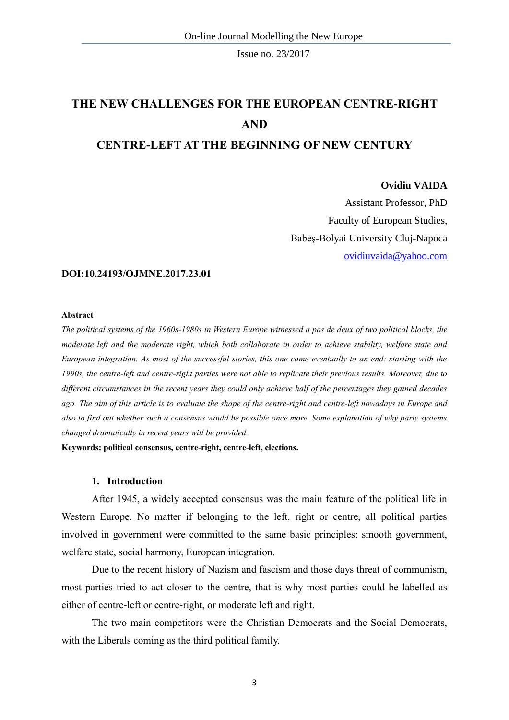# **THE NEW CHALLENGES FOR THE EUROPEAN CENTRE-RIGHT AND CENTRE-LEFT AT THE BEGINNING OF NEW CENTURY**

#### **Ovidiu VAIDA**

Assistant Professor, PhD Faculty of European Studies, Babeş-Bolyai University Cluj-Napoca [ovidiuvaida@yahoo.com](mailto:ovidiuvaida@yahoo.com)

#### **DOI:10.24193/OJMNE.2017.23.01**

#### **Abstract**

*The political systems of the 1960s-1980s in Western Europe witnessed a pas de deux of two political blocks, the moderate left and the moderate right, which both collaborate in order to achieve stability, welfare state and European integration. As most of the successful stories, this one came eventually to an end: starting with the 1990s, the centre-left and centre-right parties were not able to replicate their previous results. Moreover, due to different circumstances in the recent years they could only achieve half of the percentages they gained decades ago. The aim of this article is to evaluate the shape of the centre-right and centre-left nowadays in Europe and also to find out whether such a consensus would be possible once more. Some explanation of why party systems changed dramatically in recent years will be provided.* 

**Keywords: political consensus, centre-right, centre-left, elections.**

### **1. Introduction**

After 1945, a widely accepted consensus was the main feature of the political life in Western Europe. No matter if belonging to the left, right or centre, all political parties involved in government were committed to the same basic principles: smooth government, welfare state, social harmony, European integration.

Due to the recent history of Nazism and fascism and those days threat of communism, most parties tried to act closer to the centre, that is why most parties could be labelled as either of centre-left or centre-right, or moderate left and right.

The two main competitors were the Christian Democrats and the Social Democrats, with the Liberals coming as the third political family.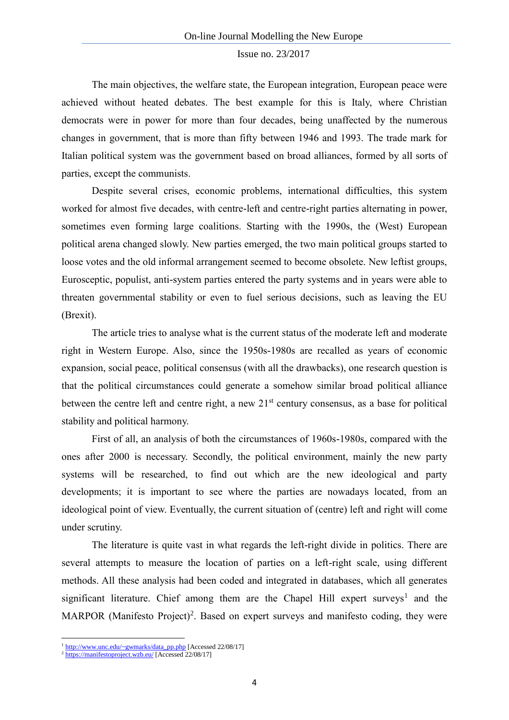The main objectives, the welfare state, the European integration, European peace were achieved without heated debates. The best example for this is Italy, where Christian democrats were in power for more than four decades, being unaffected by the numerous changes in government, that is more than fifty between 1946 and 1993. The trade mark for Italian political system was the government based on broad alliances, formed by all sorts of parties, except the communists.

Despite several crises, economic problems, international difficulties, this system worked for almost five decades, with centre-left and centre-right parties alternating in power, sometimes even forming large coalitions. Starting with the 1990s, the (West) European political arena changed slowly. New parties emerged, the two main political groups started to loose votes and the old informal arrangement seemed to become obsolete. New leftist groups, Eurosceptic, populist, anti-system parties entered the party systems and in years were able to threaten governmental stability or even to fuel serious decisions, such as leaving the EU (Brexit).

The article tries to analyse what is the current status of the moderate left and moderate right in Western Europe. Also, since the 1950s-1980s are recalled as years of economic expansion, social peace, political consensus (with all the drawbacks), one research question is that the political circumstances could generate a somehow similar broad political alliance between the centre left and centre right, a new  $21<sup>st</sup>$  century consensus, as a base for political stability and political harmony.

First of all, an analysis of both the circumstances of 1960s-1980s, compared with the ones after 2000 is necessary. Secondly, the political environment, mainly the new party systems will be researched, to find out which are the new ideological and party developments; it is important to see where the parties are nowadays located, from an ideological point of view. Eventually, the current situation of (centre) left and right will come under scrutiny.

The literature is quite vast in what regards the left-right divide in politics. There are several attempts to measure the location of parties on a left-right scale, using different methods. All these analysis had been coded and integrated in databases, which all generates significant literature. Chief among them are the Chapel Hill expert surveys<sup>1</sup> and the MARPOR (Manifesto Project)<sup>2</sup>. Based on expert surveys and manifesto coding, they were

1

<sup>&</sup>lt;sup>1</sup> [http://www.unc.edu/~gwmarks/data\\_pp.php](http://www.unc.edu/~gwmarks/data_pp.php) [Accessed 22/08/17]

 $2 \frac{\text{https://manifestoproject.wzb.eu/} \text{Accessed 22/08/17}}{$  $2 \frac{\text{https://manifestoproject.wzb.eu/} \text{Accessed 22/08/17}}{$  $2 \frac{\text{https://manifestoproject.wzb.eu/} \text{Accessed 22/08/17}}{$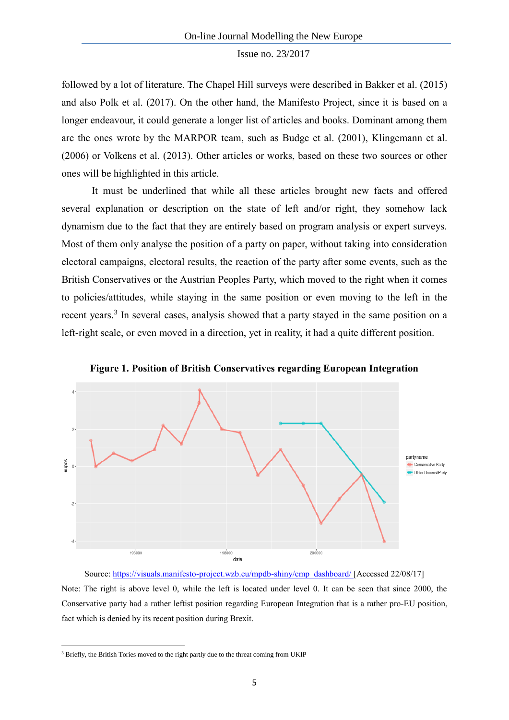followed by a lot of literature. The Chapel Hill surveys were described in Bakker et al. (2015) and also Polk et al. (2017). On the other hand, the Manifesto Project, since it is based on a longer endeavour, it could generate a longer list of articles and books. Dominant among them are the ones wrote by the MARPOR team, such as Budge et al. (2001), Klingemann et al. (2006) or Volkens et al. (2013). Other articles or works, based on these two sources or other ones will be highlighted in this article.

It must be underlined that while all these articles brought new facts and offered several explanation or description on the state of left and/or right, they somehow lack dynamism due to the fact that they are entirely based on program analysis or expert surveys. Most of them only analyse the position of a party on paper, without taking into consideration electoral campaigns, electoral results, the reaction of the party after some events, such as the British Conservatives or the Austrian Peoples Party, which moved to the right when it comes to policies/attitudes, while staying in the same position or even moving to the left in the recent years.<sup>3</sup> In several cases, analysis showed that a party stayed in the same position on a left-right scale, or even moved in a direction, yet in reality, it had a quite different position.



**Figure 1. Position of British Conservatives regarding European Integration**

Source: [https://visuals.manifesto-project.wzb.eu/mpdb-shiny/cmp\\_dashboard/](https://visuals.manifesto-project.wzb.eu/mpdb-shiny/cmp_dashboard/) [Accessed 22/08/17] Note: The right is above level 0, while the left is located under level 0. It can be seen that since 2000, the Conservative party had a rather leftist position regarding European Integration that is a rather pro-EU position, fact which is denied by its recent position during Brexit.

**.** 

<sup>&</sup>lt;sup>3</sup> Briefly, the British Tories moved to the right partly due to the threat coming from UKIP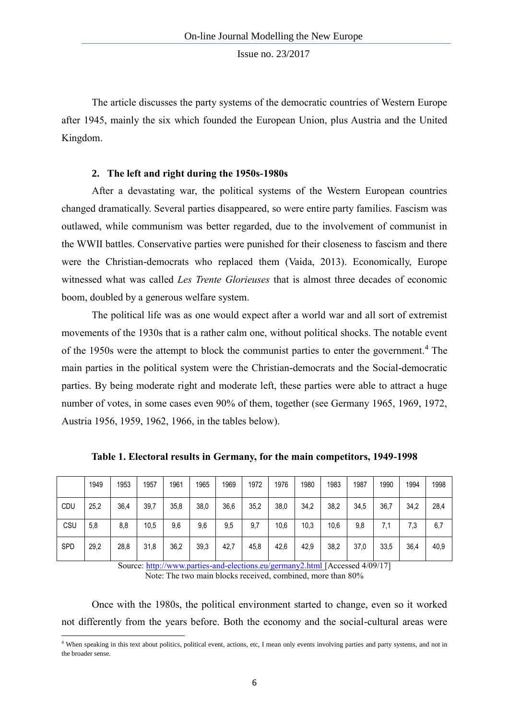The article discusses the party systems of the democratic countries of Western Europe after 1945, mainly the six which founded the European Union, plus Austria and the United Kingdom.

# **2. The left and right during the 1950s-1980s**

After a devastating war, the political systems of the Western European countries changed dramatically. Several parties disappeared, so were entire party families. Fascism was outlawed, while communism was better regarded, due to the involvement of communist in the WWII battles. Conservative parties were punished for their closeness to fascism and there were the Christian-democrats who replaced them (Vaida, 2013). Economically, Europe witnessed what was called *Les Trente Glorieuses* that is almost three decades of economic boom, doubled by a generous welfare system.

The political life was as one would expect after a world war and all sort of extremist movements of the 1930s that is a rather calm one, without political shocks. The notable event of the 1950s were the attempt to block the communist parties to enter the government.<sup>4</sup> The main parties in the political system were the Christian-democrats and the Social-democratic parties. By being moderate right and moderate left, these parties were able to attract a huge number of votes, in some cases even 90% of them, together (see Germany 1965, 1969, 1972, Austria 1956, 1959, 1962, 1966, in the tables below).

|            | 1949 | 1953 | 1957 | 1961 | 1965 | 1969 | 1972 | 1976 | 1980 | 1983 | 1987 | 1990 | 1994 | 1998 |
|------------|------|------|------|------|------|------|------|------|------|------|------|------|------|------|
| CDU        | 25,2 | 36,4 | 39,7 | 35,8 | 38,0 | 36,6 | 35,2 | 38,0 | 34,2 | 38,2 | 34,5 | 36,7 | 34,2 | 28,4 |
| CSU        | 5,8  | 8,8  | 10,5 | 9,6  | 9,6  | 9,5  | 9,7  | 10,6 | 10,3 | 10,6 | 9,8  | 7,1  | 7,3  | 6,7  |
| <b>SPD</b> | 29,2 | 28,8 | 31,8 | 36,2 | 39,3 | 42,7 | 45,8 | 42,6 | 42,9 | 38,2 | 37,0 | 33,5 | 36,4 | 40,9 |

**Table 1. Electoral results in Germany, for the main competitors, 1949-1998**

Source:<http://www.parties-and-elections.eu/germany2.html> [Accessed 4/09/17] Note: The two main blocks received, combined, more than 80%

Once with the 1980s, the political environment started to change, even so it worked not differently from the years before. Both the economy and the social-cultural areas were

**.** 

<sup>&</sup>lt;sup>4</sup> When speaking in this text about politics, political event, actions, etc, I mean only events involving parties and party systems, and not in the broader sense.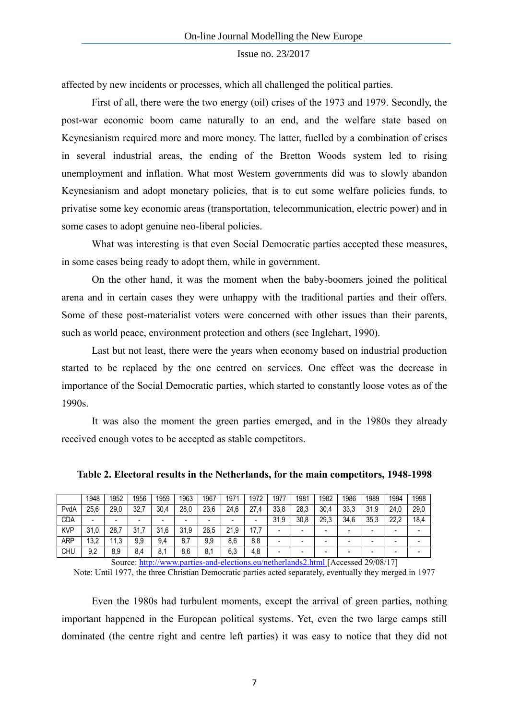affected by new incidents or processes, which all challenged the political parties.

First of all, there were the two energy (oil) crises of the 1973 and 1979. Secondly, the post-war economic boom came naturally to an end, and the welfare state based on Keynesianism required more and more money. The latter, fuelled by a combination of crises in several industrial areas, the ending of the Bretton Woods system led to rising unemployment and inflation. What most Western governments did was to slowly abandon Keynesianism and adopt monetary policies, that is to cut some welfare policies funds, to privatise some key economic areas (transportation, telecommunication, electric power) and in some cases to adopt genuine neo-liberal policies.

What was interesting is that even Social Democratic parties accepted these measures, in some cases being ready to adopt them, while in government.

On the other hand, it was the moment when the baby-boomers joined the political arena and in certain cases they were unhappy with the traditional parties and their offers. Some of these post-materialist voters were concerned with other issues than their parents, such as world peace, environment protection and others (see Inglehart, 1990).

Last but not least, there were the years when economy based on industrial production started to be replaced by the one centred on services. One effect was the decrease in importance of the Social Democratic parties, which started to constantly loose votes as of the 1990s.

It was also the moment the green parties emerged, and in the 1980s they already received enough votes to be accepted as stable competitors.

|            | 1948 | 1952 | 1956                     | 1959 | 1963 | 1967 | 1971 | 1972 | 1977 | 1981 | 1982 | 1986 | 1989 | 1994 | 1998 |
|------------|------|------|--------------------------|------|------|------|------|------|------|------|------|------|------|------|------|
| PvdA       | 25,6 | 29,0 | 32,7                     | 30,4 | 28,0 | 23,6 | 24,6 | 27.4 | 33,8 | 28,3 | 30,4 | 33,3 | 31,9 | 24,0 | 29,0 |
| <b>CDA</b> | -    |      | $\overline{\phantom{a}}$ | -    | -    | -    | -    |      | 31,9 | 30,8 | 29,3 | 34,6 | 35,3 | 22,2 | 18,4 |
| <b>KVP</b> | 31,0 | 28,7 | 21<br>، ا ب              | 31,6 | 31,9 | 26,5 | 21,9 | 177  |      |      | -    |      |      | -    |      |
| <b>ARP</b> | 13,2 | 11,3 | 9,9                      | 9,4  | 8,7  | 9,9  | 8,6  | 8,8  | -    |      | -    |      |      | -    |      |
| <b>CHU</b> | 9,2  | 8,9  | 8,4                      | 8,1  | 8,6  | 8,1  | 6,3  | 4,8  | -    |      | -    |      |      | -    |      |

**Table 2. Electoral results in the Netherlands, for the main competitors, 1948-1998**

Source:<http://www.parties-and-elections.eu/netherlands2.html> [Accessed 29/08/17] Note: Until 1977, the three Christian Democratic parties acted separately, eventually they merged in 1977

Even the 1980s had turbulent moments, except the arrival of green parties, nothing important happened in the European political systems. Yet, even the two large camps still dominated (the centre right and centre left parties) it was easy to notice that they did not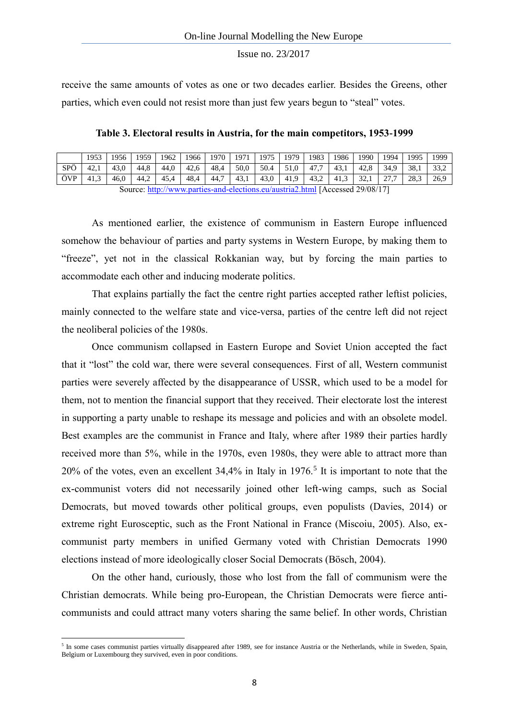receive the same amounts of votes as one or two decades earlier. Besides the Greens, other parties, which even could not resist more than just few years begun to "steal" votes.

**Table 3. Electoral results in Austria, for the main competitors, 1953-1999**

|     | 1953                                                                          | 1956 | 1959 | 1962 | 1966 | 1970 | 1971 | 1975 | 1979 | 1983 | 1986 | 1990 | 1994 | 1995 | 1999 |
|-----|-------------------------------------------------------------------------------|------|------|------|------|------|------|------|------|------|------|------|------|------|------|
| SPÖ | 42.1                                                                          | 43.0 | 44.8 | 44.0 | 42.6 | 48.4 | 50.0 | 50.4 | 51.0 | 47.7 | 43.1 | 42.8 | 34.9 | 38.1 | 33.2 |
| ÖVP | 41.3                                                                          | 46.0 | 44.2 | 45.4 | 48,4 | 44.7 | 43.1 | 43,0 | 41.9 | 43.2 | 41.3 | 32.1 | 27.7 | 28.3 | 26.9 |
|     | Source: http://www.parties-and-elections.eu/austria2.html [Accessed 29/08/17] |      |      |      |      |      |      |      |      |      |      |      |      |      |      |

As mentioned earlier, the existence of communism in Eastern Europe influenced somehow the behaviour of parties and party systems in Western Europe, by making them to "freeze", yet not in the classical Rokkanian way, but by forcing the main parties to accommodate each other and inducing moderate politics.

That explains partially the fact the centre right parties accepted rather leftist policies, mainly connected to the welfare state and vice-versa, parties of the centre left did not reject the neoliberal policies of the 1980s.

Once communism collapsed in Eastern Europe and Soviet Union accepted the fact that it "lost" the cold war, there were several consequences. First of all, Western communist parties were severely affected by the disappearance of USSR, which used to be a model for them, not to mention the financial support that they received. Their electorate lost the interest in supporting a party unable to reshape its message and policies and with an obsolete model. Best examples are the communist in France and Italy, where after 1989 their parties hardly received more than 5%, while in the 1970s, even 1980s, they were able to attract more than  $20\%$  of the votes, even an excellent 34,4% in Italy in 1976.<sup>5</sup> It is important to note that the ex-communist voters did not necessarily joined other left-wing camps, such as Social Democrats, but moved towards other political groups, even populists (Davies, 2014) or extreme right Eurosceptic, such as the Front National in France (Miscoiu, 2005). Also, excommunist party members in unified Germany voted with Christian Democrats 1990 elections instead of more ideologically closer Social Democrats (Bösch, 2004).

On the other hand, curiously, those who lost from the fall of communism were the Christian democrats. While being pro-European, the Christian Democrats were fierce anticommunists and could attract many voters sharing the same belief. In other words, Christian

1

<sup>&</sup>lt;sup>5</sup> In some cases communist parties virtually disappeared after 1989, see for instance Austria or the Netherlands, while in Sweden, Spain, Belgium or Luxembourg they survived, even in poor conditions.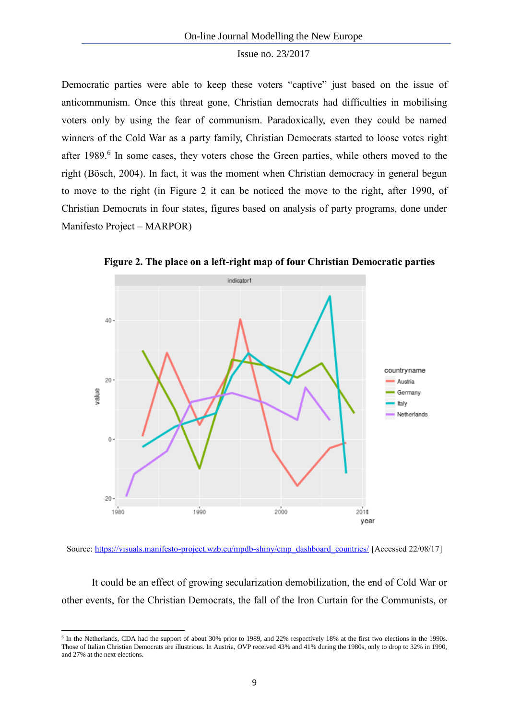Democratic parties were able to keep these voters "captive" just based on the issue of anticommunism. Once this threat gone, Christian democrats had difficulties in mobilising voters only by using the fear of communism. Paradoxically, even they could be named winners of the Cold War as a party family, Christian Democrats started to loose votes right after 1989.<sup>6</sup> In some cases, they voters chose the Green parties, while others moved to the right (Bösch, 2004). In fact, it was the moment when Christian democracy in general begun to move to the right (in Figure 2 it can be noticed the move to the right, after 1990, of Christian Democrats in four states, figures based on analysis of party programs, done under Manifesto Project – MARPOR)



**Figure 2. The place on a left-right map of four Christian Democratic parties**

Source: [https://visuals.manifesto-project.wzb.eu/mpdb-shiny/cmp\\_dashboard\\_countries/](https://visuals.manifesto-project.wzb.eu/mpdb-shiny/cmp_dashboard_countries/) [Accessed 22/08/17]

It could be an effect of growing secularization demobilization, the end of Cold War or other events, for the Christian Democrats, the fall of the Iron Curtain for the Communists, or

**.** 

<sup>&</sup>lt;sup>6</sup> In the Netherlands, CDA had the support of about 30% prior to 1989, and 22% respectively 18% at the first two elections in the 1990s. Those of Italian Christian Democrats are illustrious. In Austria, OVP received 43% and 41% during the 1980s, only to drop to 32% in 1990, and 27% at the next elections.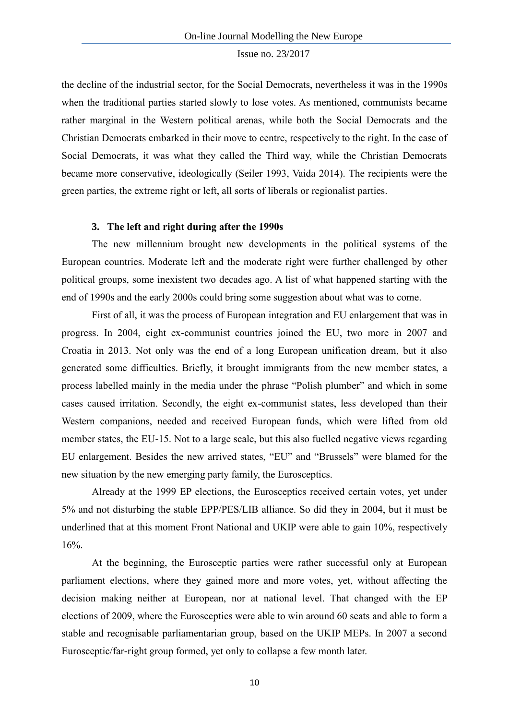the decline of the industrial sector, for the Social Democrats, nevertheless it was in the 1990s when the traditional parties started slowly to lose votes. As mentioned, communists became rather marginal in the Western political arenas, while both the Social Democrats and the Christian Democrats embarked in their move to centre, respectively to the right. In the case of Social Democrats, it was what they called the Third way, while the Christian Democrats became more conservative, ideologically (Seiler 1993, Vaida 2014). The recipients were the green parties, the extreme right or left, all sorts of liberals or regionalist parties.

#### **3. The left and right during after the 1990s**

The new millennium brought new developments in the political systems of the European countries. Moderate left and the moderate right were further challenged by other political groups, some inexistent two decades ago. A list of what happened starting with the end of 1990s and the early 2000s could bring some suggestion about what was to come.

First of all, it was the process of European integration and EU enlargement that was in progress. In 2004, eight ex-communist countries joined the EU, two more in 2007 and Croatia in 2013. Not only was the end of a long European unification dream, but it also generated some difficulties. Briefly, it brought immigrants from the new member states, a process labelled mainly in the media under the phrase "Polish plumber" and which in some cases caused irritation. Secondly, the eight ex-communist states, less developed than their Western companions, needed and received European funds, which were lifted from old member states, the EU-15. Not to a large scale, but this also fuelled negative views regarding EU enlargement. Besides the new arrived states, "EU" and "Brussels" were blamed for the new situation by the new emerging party family, the Eurosceptics.

Already at the 1999 EP elections, the Eurosceptics received certain votes, yet under 5% and not disturbing the stable EPP/PES/LIB alliance. So did they in 2004, but it must be underlined that at this moment Front National and UKIP were able to gain 10%, respectively 16%.

At the beginning, the Eurosceptic parties were rather successful only at European parliament elections, where they gained more and more votes, yet, without affecting the decision making neither at European, nor at national level. That changed with the EP elections of 2009, where the Eurosceptics were able to win around 60 seats and able to form a stable and recognisable parliamentarian group, based on the UKIP MEPs. In 2007 a second Eurosceptic/far-right group formed, yet only to collapse a few month later.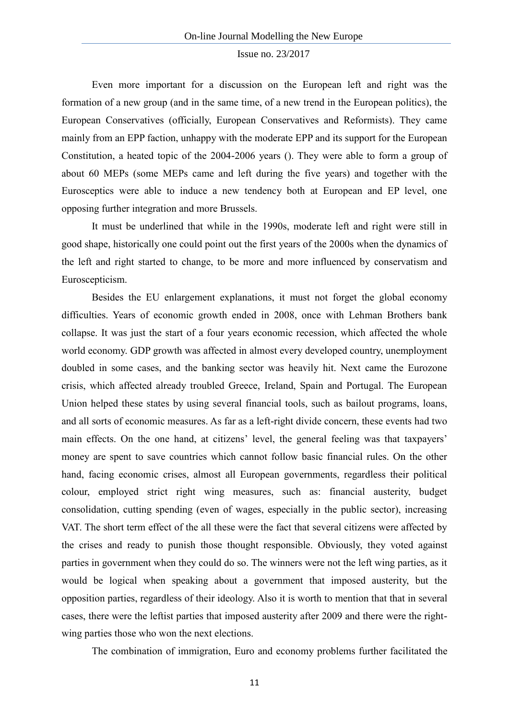Even more important for a discussion on the European left and right was the formation of a new group (and in the same time, of a new trend in the European politics), the European Conservatives (officially, European Conservatives and Reformists). They came mainly from an EPP faction, unhappy with the moderate EPP and its support for the European Constitution, a heated topic of the 2004-2006 years (). They were able to form a group of about 60 MEPs (some MEPs came and left during the five years) and together with the Eurosceptics were able to induce a new tendency both at European and EP level, one opposing further integration and more Brussels.

It must be underlined that while in the 1990s, moderate left and right were still in good shape, historically one could point out the first years of the 2000s when the dynamics of the left and right started to change, to be more and more influenced by conservatism and Euroscepticism.

Besides the EU enlargement explanations, it must not forget the global economy difficulties. Years of economic growth ended in 2008, once with Lehman Brothers bank collapse. It was just the start of a four years economic recession, which affected the whole world economy. GDP growth was affected in almost every developed country, unemployment doubled in some cases, and the banking sector was heavily hit. Next came the Eurozone crisis, which affected already troubled Greece, Ireland, Spain and Portugal. The European Union helped these states by using several financial tools, such as bailout programs, loans, and all sorts of economic measures. As far as a left-right divide concern, these events had two main effects. On the one hand, at citizens' level, the general feeling was that taxpayers' money are spent to save countries which cannot follow basic financial rules. On the other hand, facing economic crises, almost all European governments, regardless their political colour, employed strict right wing measures, such as: financial austerity, budget consolidation, cutting spending (even of wages, especially in the public sector), increasing VAT. The short term effect of the all these were the fact that several citizens were affected by the crises and ready to punish those thought responsible. Obviously, they voted against parties in government when they could do so. The winners were not the left wing parties, as it would be logical when speaking about a government that imposed austerity, but the opposition parties, regardless of their ideology. Also it is worth to mention that that in several cases, there were the leftist parties that imposed austerity after 2009 and there were the rightwing parties those who won the next elections.

The combination of immigration, Euro and economy problems further facilitated the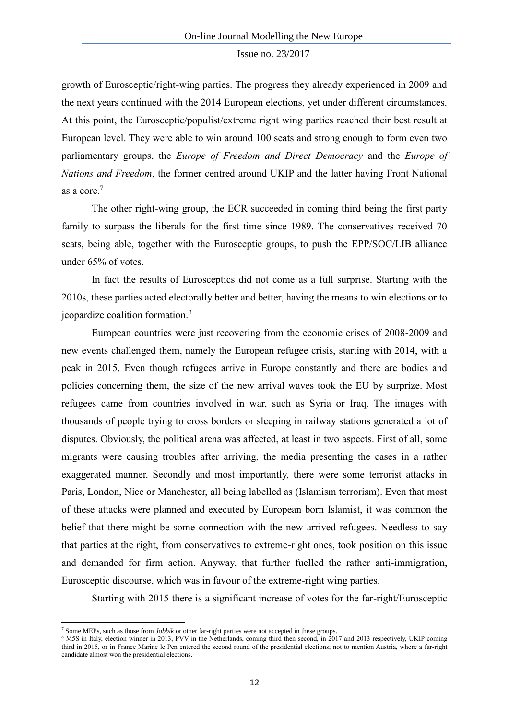growth of Eurosceptic/right-wing parties. The progress they already experienced in 2009 and the next years continued with the 2014 European elections, yet under different circumstances. At this point, the Eurosceptic/populist/extreme right wing parties reached their best result at European level. They were able to win around 100 seats and strong enough to form even two parliamentary groups, the *Europe of Freedom and Direct Democracy* and the *Europe of Nations and Freedom*, the former centred around UKIP and the latter having Front National as a core.<sup>7</sup>

The other right-wing group, the ECR succeeded in coming third being the first party family to surpass the liberals for the first time since 1989. The conservatives received 70 seats, being able, together with the Eurosceptic groups, to push the EPP/SOC/LIB alliance under 65% of votes.

In fact the results of Eurosceptics did not come as a full surprise. Starting with the 2010s, these parties acted electorally better and better, having the means to win elections or to jeopardize coalition formation.<sup>8</sup>

European countries were just recovering from the economic crises of 2008-2009 and new events challenged them, namely the European refugee crisis, starting with 2014, with a peak in 2015. Even though refugees arrive in Europe constantly and there are bodies and policies concerning them, the size of the new arrival waves took the EU by surprize. Most refugees came from countries involved in war, such as Syria or Iraq. The images with thousands of people trying to cross borders or sleeping in railway stations generated a lot of disputes. Obviously, the political arena was affected, at least in two aspects. First of all, some migrants were causing troubles after arriving, the media presenting the cases in a rather exaggerated manner. Secondly and most importantly, there were some terrorist attacks in Paris, London, Nice or Manchester, all being labelled as (Islamism terrorism). Even that most of these attacks were planned and executed by European born Islamist, it was common the belief that there might be some connection with the new arrived refugees. Needless to say that parties at the right, from conservatives to extreme-right ones, took position on this issue and demanded for firm action. Anyway, that further fuelled the rather anti-immigration, Eurosceptic discourse, which was in favour of the extreme-right wing parties.

Starting with 2015 there is a significant increase of votes for the far-right/Eurosceptic

 $\overline{a}$ 

<sup>7</sup> Some MEPs, such as those from *Jobbik* or other far-right parties were not accepted in these groups.

<sup>8</sup> M5S in Italy, election winner in 2013, PVV in the Netherlands, coming third then second, in 2017 and 2013 respectively, UKIP coming third in 2015, or in France Marine le Pen entered the second round of the presidential elections; not to mention Austria, where a far-right candidate almost won the presidential elections.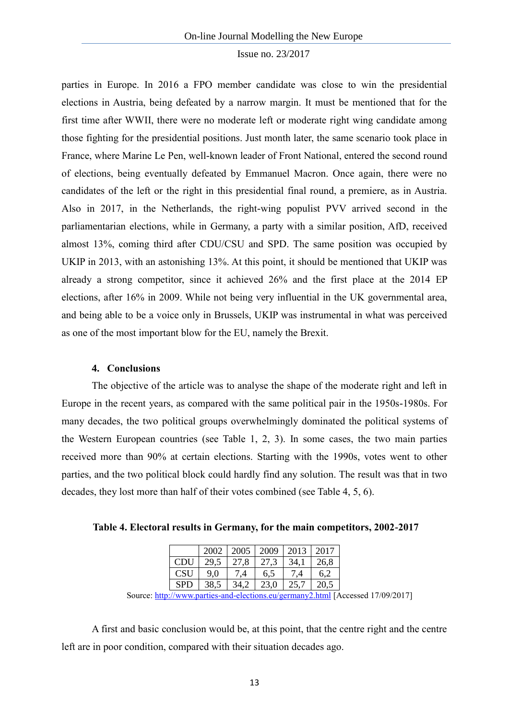parties in Europe. In 2016 a FPO member candidate was close to win the presidential elections in Austria, being defeated by a narrow margin. It must be mentioned that for the first time after WWII, there were no moderate left or moderate right wing candidate among those fighting for the presidential positions. Just month later, the same scenario took place in France, where Marine Le Pen, well-known leader of Front National, entered the second round of elections, being eventually defeated by Emmanuel Macron. Once again, there were no candidates of the left or the right in this presidential final round, a premiere, as in Austria. Also in 2017, in the Netherlands, the right-wing populist PVV arrived second in the parliamentarian elections, while in Germany, a party with a similar position, AfD, received almost 13%, coming third after CDU/CSU and SPD. The same position was occupied by UKIP in 2013, with an astonishing 13%. At this point, it should be mentioned that UKIP was already a strong competitor, since it achieved 26% and the first place at the 2014 EP elections, after 16% in 2009. While not being very influential in the UK governmental area, and being able to be a voice only in Brussels, UKIP was instrumental in what was perceived as one of the most important blow for the EU, namely the Brexit.

#### **4. Conclusions**

The objective of the article was to analyse the shape of the moderate right and left in Europe in the recent years, as compared with the same political pair in the 1950s-1980s. For many decades, the two political groups overwhelmingly dominated the political systems of the Western European countries (see Table 1, 2, 3). In some cases, the two main parties received more than 90% at certain elections. Starting with the 1990s, votes went to other parties, and the two political block could hardly find any solution. The result was that in two decades, they lost more than half of their votes combined (see Table 4, 5, 6).

**Table 4. Electoral results in Germany, for the main competitors, 2002-2017**

|            | 2002 | 2005 | 2009 | 2013 | 2017 |
|------------|------|------|------|------|------|
| <b>CDU</b> | 29,5 | 27.8 | 27.3 | 34,1 | 26,8 |
| <b>CSU</b> | 9.0  | 7.4  | 6,5  | 7.4  | 6.2  |
| <b>SPD</b> | 38,5 | 34,2 | 23,0 | 25,7 | 20.5 |

Source:<http://www.parties-and-elections.eu/germany2.html> [Accessed 17/09/2017]

A first and basic conclusion would be, at this point, that the centre right and the centre left are in poor condition, compared with their situation decades ago.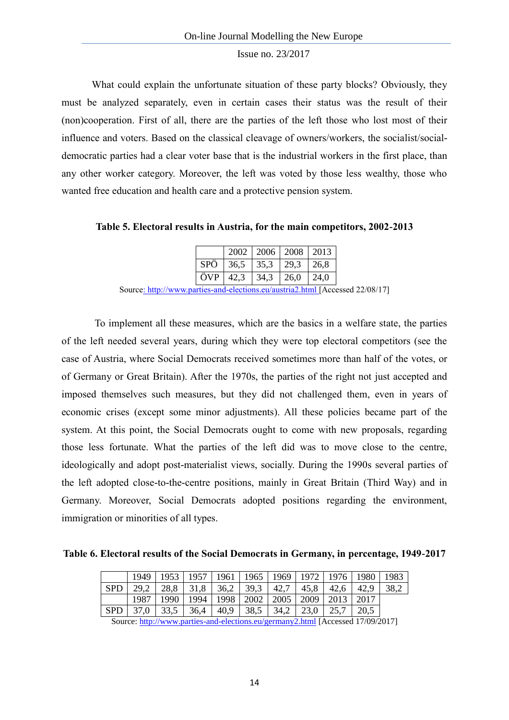What could explain the unfortunate situation of these party blocks? Obviously, they must be analyzed separately, even in certain cases their status was the result of their (non)cooperation. First of all, there are the parties of the left those who lost most of their influence and voters. Based on the classical cleavage of owners/workers, the socialist/socialdemocratic parties had a clear voter base that is the industrial workers in the first place, than any other worker category. Moreover, the left was voted by those less wealthy, those who wanted free education and health care and a protective pension system.

**Table 5. Electoral results in Austria, for the main competitors, 2002-2013**

|     |      | 2002   2006   2008   2013 |      |      |
|-----|------|---------------------------|------|------|
| SPÖ | 36.5 | 35,3                      | 29,3 | 26,8 |
| ÖVP | 42,3 | 34,3                      | 26,0 | 24,0 |

Source:<http://www.parties-and-elections.eu/austria2.html> [Accessed 22/08/17]

To implement all these measures, which are the basics in a welfare state, the parties of the left needed several years, during which they were top electoral competitors (see the case of Austria, where Social Democrats received sometimes more than half of the votes, or of Germany or Great Britain). After the 1970s, the parties of the right not just accepted and imposed themselves such measures, but they did not challenged them, even in years of economic crises (except some minor adjustments). All these policies became part of the system. At this point, the Social Democrats ought to come with new proposals, regarding those less fortunate. What the parties of the left did was to move close to the centre, ideologically and adopt post-materialist views, socially. During the 1990s several parties of the left adopted close-to-the-centre positions, mainly in Great Britain (Third Way) and in Germany. Moreover, Social Democrats adopted positions regarding the environment, immigration or minorities of all types.

**Table 6. Electoral results of the Social Democrats in Germany, in percentage, 1949-2017**

|            |      |      |                                                |  |                                            |      | 1949   1953   1957   1961   1965   1969   1972   1976   1980   1983 |      |
|------------|------|------|------------------------------------------------|--|--------------------------------------------|------|---------------------------------------------------------------------|------|
| <b>SPD</b> |      |      | 29,2   28,8   31,8   36,2   39,3   42,7        |  |                                            | 45,8 | $42,6$ 42,9                                                         | 38,2 |
|            | 1987 | 1990 | 1994   1998   2002   2005   2009   2013   2017 |  |                                            |      |                                                                     |      |
| <b>SPD</b> |      |      | $37,0$   $33,5$   $36,4$   $40,9$              |  | $38,5$   $34,2$   $23,0$   $25,7$   $20,5$ |      |                                                                     |      |

Source:<http://www.parties-and-elections.eu/germany2.html> [Accessed 17/09/2017]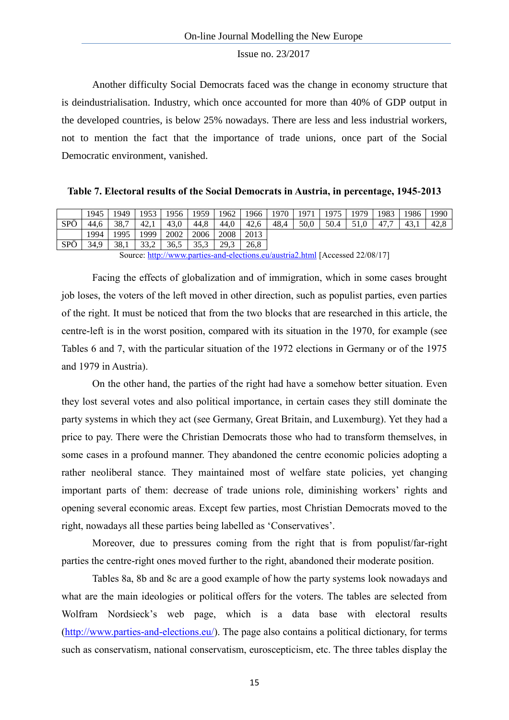Another difficulty Social Democrats faced was the change in economy structure that is deindustrialisation. Industry, which once accounted for more than 40% of GDP output in the developed countries, is below 25% nowadays. There are less and less industrial workers, not to mention the fact that the importance of trade unions, once part of the Social Democratic environment, vanished.

**Table 7. Electoral results of the Social Democrats in Austria, in percentage, 1945-2013**

|                | 1945 | 1949 | 1953 | 1956 | 1959 | 1962 | 1966 | 1970 | 1971 | 1975 | 1979 | 1983 | 1986 | 1990 |
|----------------|------|------|------|------|------|------|------|------|------|------|------|------|------|------|
| $\cdot$<br>SPÖ | 44.6 | 38.7 | 42,1 | 43,0 | 44,8 | 44.0 | 42,6 | 48.4 | 50,0 | 50.4 |      | 47., | 43.1 | 42.8 |
|                | 1994 | 1995 | 1999 | 2002 | 2006 | 2008 | 2013 |      |      |      |      |      |      |      |
| SPÖ            | 34.9 | 38,1 | 33,2 | 36,5 | 35,3 | 29.3 | 26.8 |      |      |      |      |      |      |      |

Source:<http://www.parties-and-elections.eu/austria2.html> [Accessed 22/08/17]

Facing the effects of globalization and of immigration, which in some cases brought job loses, the voters of the left moved in other direction, such as populist parties, even parties of the right. It must be noticed that from the two blocks that are researched in this article, the centre-left is in the worst position, compared with its situation in the 1970, for example (see Tables 6 and 7, with the particular situation of the 1972 elections in Germany or of the 1975 and 1979 in Austria).

On the other hand, the parties of the right had have a somehow better situation. Even they lost several votes and also political importance, in certain cases they still dominate the party systems in which they act (see Germany, Great Britain, and Luxemburg). Yet they had a price to pay. There were the Christian Democrats those who had to transform themselves, in some cases in a profound manner. They abandoned the centre economic policies adopting a rather neoliberal stance. They maintained most of welfare state policies, yet changing important parts of them: decrease of trade unions role, diminishing workers' rights and opening several economic areas. Except few parties, most Christian Democrats moved to the right, nowadays all these parties being labelled as 'Conservatives'.

Moreover, due to pressures coming from the right that is from populist/far-right parties the centre-right ones moved further to the right, abandoned their moderate position.

Tables 8a, 8b and 8c are a good example of how the party systems look nowadays and what are the main ideologies or political offers for the voters. The tables are selected from Wolfram Nordsieck's web page, which is a data base with electoral results [\(http://www.parties-and-elections.eu/\)](http://www.parties-and-elections.eu/). The page also contains a political dictionary, for terms such as conservatism, national conservatism, euroscepticism, etc. The three tables display the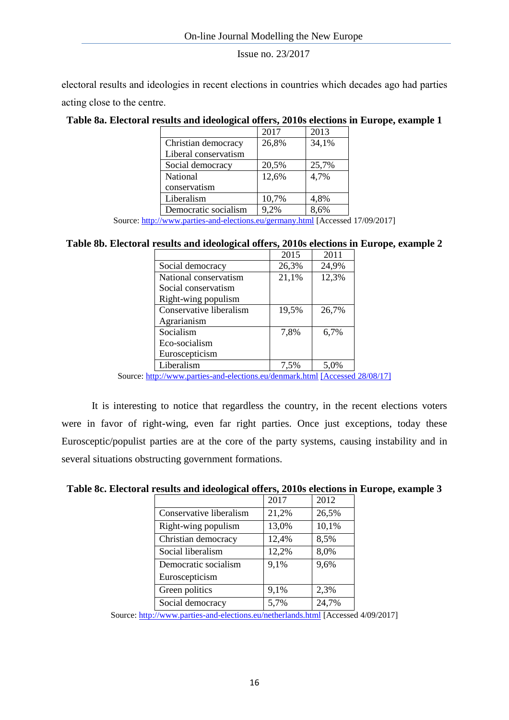electoral results and ideologies in recent elections in countries which decades ago had parties acting close to the centre.

# **Table 8a. Electoral results and ideological offers, 2010s elections in Europe, example 1**

|                      | 2017  | 2013  |
|----------------------|-------|-------|
| Christian democracy  | 26,8% | 34,1% |
| Liberal conservatism |       |       |
| Social democracy     | 20,5% | 25,7% |
| National             | 12,6% | 4,7%  |
| conservatism         |       |       |
| Liberalism           | 10,7% | 4,8%  |
| Democratic socialism | 9,2%  | 8.6%  |

Source:<http://www.parties-and-elections.eu/germany.html> [Accessed 17/09/2017]

# **Table 8b. Electoral results and ideological offers, 2010s elections in Europe, example 2**

|                         | 2015  | 2011  |
|-------------------------|-------|-------|
| Social democracy        | 26,3% | 24,9% |
| National conservatism   | 21,1% | 12,3% |
| Social conservatism     |       |       |
| Right-wing populism     |       |       |
| Conservative liberalism | 19,5% | 26,7% |
| Agrarianism             |       |       |
| Socialism               | 7.8%  | 6,7%  |
| Eco-socialism           |       |       |
| Euroscepticism          |       |       |
| Liberalism              | 7,5%  | 5.0%  |

Source:<http://www.parties-and-elections.eu/denmark.html> [Accessed 28/08/17]

It is interesting to notice that regardless the country, in the recent elections voters were in favor of right-wing, even far right parties. Once just exceptions, today these Eurosceptic/populist parties are at the core of the party systems, causing instability and in several situations obstructing government formations.

# **Table 8c. Electoral results and ideological offers, 2010s elections in Europe, example 3**

|                         | 2017  | 2012  |
|-------------------------|-------|-------|
| Conservative liberalism | 21,2% | 26,5% |
| Right-wing populism     | 13,0% | 10,1% |
| Christian democracy     | 12,4% | 8,5%  |
| Social liberalism       | 12,2% | 8,0%  |
| Democratic socialism    | 9,1%  | 9,6%  |
| Euroscepticism          |       |       |
| Green politics          | 9,1%  | 2,3%  |
| Social democracy        | 5,7%  | 24,7% |

Source[: http://www.parties-and-elections.eu/netherlands.html](http://www.parties-and-elections.eu/netherlands.html) [Accessed 4/09/2017]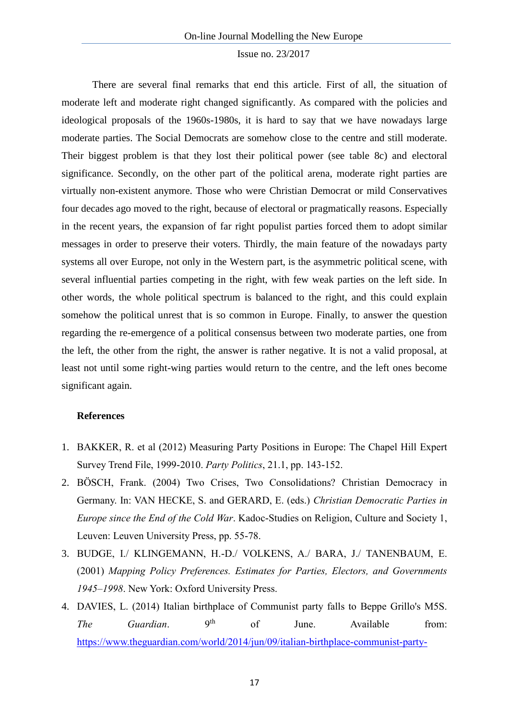There are several final remarks that end this article. First of all, the situation of moderate left and moderate right changed significantly. As compared with the policies and ideological proposals of the 1960s-1980s, it is hard to say that we have nowadays large moderate parties. The Social Democrats are somehow close to the centre and still moderate. Their biggest problem is that they lost their political power (see table 8c) and electoral significance. Secondly, on the other part of the political arena, moderate right parties are virtually non-existent anymore. Those who were Christian Democrat or mild Conservatives four decades ago moved to the right, because of electoral or pragmatically reasons. Especially in the recent years, the expansion of far right populist parties forced them to adopt similar messages in order to preserve their voters. Thirdly, the main feature of the nowadays party systems all over Europe, not only in the Western part, is the asymmetric political scene, with several influential parties competing in the right, with few weak parties on the left side. In other words, the whole political spectrum is balanced to the right, and this could explain somehow the political unrest that is so common in Europe. Finally, to answer the question regarding the re-emergence of a political consensus between two moderate parties, one from the left, the other from the right, the answer is rather negative. It is not a valid proposal, at least not until some right-wing parties would return to the centre, and the left ones become significant again.

# **References**

- 1. BAKKER, R. et al (2012) Measuring Party Positions in Europe: The Chapel Hill Expert Survey Trend File, 1999-2010. *Party Politics*, 21.1, pp. 143-152.
- 2. BÖSCH, Frank. (2004) Two Crises, Two Consolidations? Christian Democracy in Germany. In: VAN HECKE, S. and GERARD, E. (eds.) *Christian Democratic Parties in Europe since the End of the Cold War*. Kadoc-Studies on Religion, Culture and Society 1, Leuven: Leuven University Press, pp. 55-78.
- 3. BUDGE, I./ KLINGEMANN, H.-D./ VOLKENS, A./ BARA, J./ TANENBAUM, E. (2001) *Mapping Policy Preferences. Estimates for Parties, Electors, and Governments 1945–1998*. New York: Oxford University Press.
- 4. DAVIES, L. (2014) Italian birthplace of Communist party falls to Beppe Grillo's M5S. *The Guardian*. 9<sup>th</sup> of June. Available from: [https://www.theguardian.com/world/2014/jun/09/italian-birthplace-communist-party-](https://www.theguardian.com/world/2014/jun/09/italian-birthplace-communist-party-beppe-grillo-m5s-livorno)